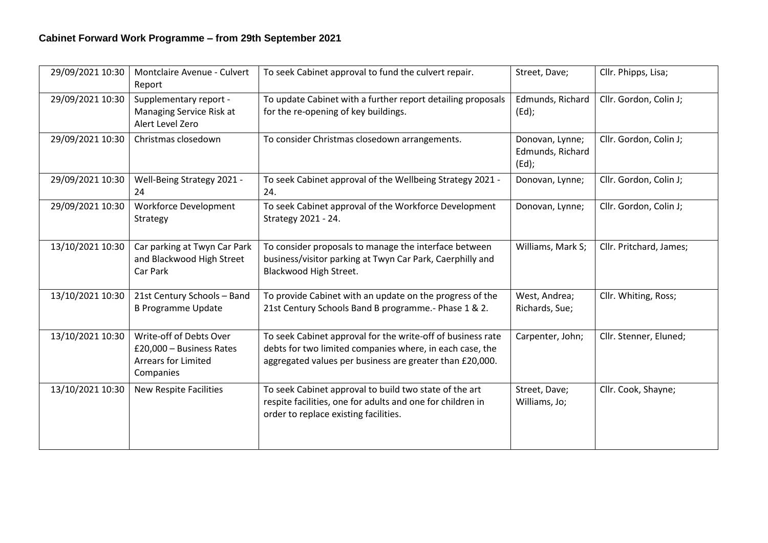| 29/09/2021 10:30 | Montclaire Avenue - Culvert<br>Report                                                          | To seek Cabinet approval to fund the culvert repair.                                                                                                                                | Street, Dave;                                   | Cllr. Phipps, Lisa;     |
|------------------|------------------------------------------------------------------------------------------------|-------------------------------------------------------------------------------------------------------------------------------------------------------------------------------------|-------------------------------------------------|-------------------------|
| 29/09/2021 10:30 | Supplementary report -<br>Managing Service Risk at<br>Alert Level Zero                         | To update Cabinet with a further report detailing proposals<br>for the re-opening of key buildings.                                                                                 | Edmunds, Richard<br>$(Ed)$ ;                    | Cllr. Gordon, Colin J;  |
| 29/09/2021 10:30 | Christmas closedown                                                                            | To consider Christmas closedown arrangements.                                                                                                                                       | Donovan, Lynne;<br>Edmunds, Richard<br>$(Ed)$ ; | Cllr. Gordon, Colin J;  |
| 29/09/2021 10:30 | Well-Being Strategy 2021 -<br>24                                                               | To seek Cabinet approval of the Wellbeing Strategy 2021 -<br>24.                                                                                                                    | Donovan, Lynne;                                 | Cllr. Gordon, Colin J;  |
| 29/09/2021 10:30 | <b>Workforce Development</b><br>Strategy                                                       | To seek Cabinet approval of the Workforce Development<br>Strategy 2021 - 24.                                                                                                        | Donovan, Lynne;                                 | Cllr. Gordon, Colin J;  |
| 13/10/2021 10:30 | Car parking at Twyn Car Park<br>and Blackwood High Street<br>Car Park                          | To consider proposals to manage the interface between<br>business/visitor parking at Twyn Car Park, Caerphilly and<br>Blackwood High Street.                                        | Williams, Mark S;                               | Cllr. Pritchard, James; |
| 13/10/2021 10:30 | 21st Century Schools - Band<br><b>B Programme Update</b>                                       | To provide Cabinet with an update on the progress of the<br>21st Century Schools Band B programme.- Phase 1 & 2.                                                                    | West, Andrea;<br>Richards, Sue;                 | Cllr. Whiting, Ross;    |
| 13/10/2021 10:30 | Write-off of Debts Over<br>£20,000 - Business Rates<br><b>Arrears for Limited</b><br>Companies | To seek Cabinet approval for the write-off of business rate<br>debts for two limited companies where, in each case, the<br>aggregated values per business are greater than £20,000. | Carpenter, John;                                | Cllr. Stenner, Eluned;  |
| 13/10/2021 10:30 | <b>New Respite Facilities</b>                                                                  | To seek Cabinet approval to build two state of the art<br>respite facilities, one for adults and one for children in<br>order to replace existing facilities.                       | Street, Dave;<br>Williams, Jo;                  | Cllr. Cook, Shayne;     |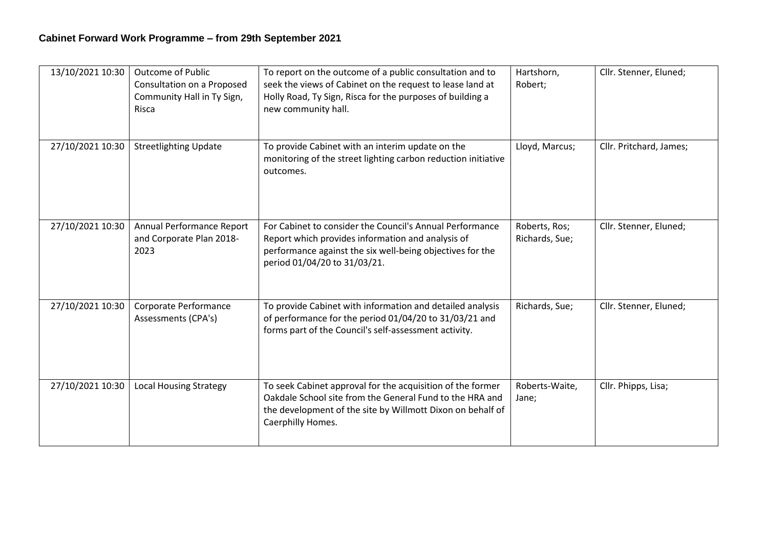| 13/10/2021 10:30 | <b>Outcome of Public</b><br>Consultation on a Proposed<br>Community Hall in Ty Sign,<br>Risca | To report on the outcome of a public consultation and to<br>seek the views of Cabinet on the request to lease land at<br>Holly Road, Ty Sign, Risca for the purposes of building a<br>new community hall.  | Hartshorn,<br>Robert;           | Cllr. Stenner, Eluned;  |
|------------------|-----------------------------------------------------------------------------------------------|------------------------------------------------------------------------------------------------------------------------------------------------------------------------------------------------------------|---------------------------------|-------------------------|
| 27/10/2021 10:30 | <b>Streetlighting Update</b>                                                                  | To provide Cabinet with an interim update on the<br>monitoring of the street lighting carbon reduction initiative<br>outcomes.                                                                             | Lloyd, Marcus;                  | Cllr. Pritchard, James; |
| 27/10/2021 10:30 | Annual Performance Report<br>and Corporate Plan 2018-<br>2023                                 | For Cabinet to consider the Council's Annual Performance<br>Report which provides information and analysis of<br>performance against the six well-being objectives for the<br>period 01/04/20 to 31/03/21. | Roberts, Ros;<br>Richards, Sue; | Cllr. Stenner, Eluned;  |
| 27/10/2021 10:30 | Corporate Performance<br>Assessments (CPA's)                                                  | To provide Cabinet with information and detailed analysis<br>of performance for the period 01/04/20 to 31/03/21 and<br>forms part of the Council's self-assessment activity.                               | Richards, Sue;                  | Cllr. Stenner, Eluned;  |
| 27/10/2021 10:30 | <b>Local Housing Strategy</b>                                                                 | To seek Cabinet approval for the acquisition of the former<br>Oakdale School site from the General Fund to the HRA and<br>the development of the site by Willmott Dixon on behalf of<br>Caerphilly Homes.  | Roberts-Waite,<br>Jane;         | Cllr. Phipps, Lisa;     |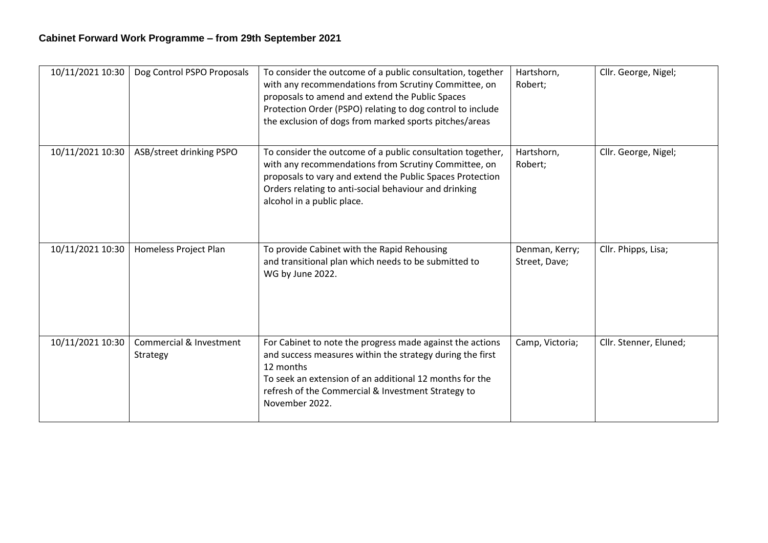| 10/11/2021 10:30 | Dog Control PSPO Proposals          | To consider the outcome of a public consultation, together<br>with any recommendations from Scrutiny Committee, on<br>proposals to amend and extend the Public Spaces<br>Protection Order (PSPO) relating to dog control to include<br>the exclusion of dogs from marked sports pitches/areas | Hartshorn,<br>Robert;           | Cllr. George, Nigel;   |
|------------------|-------------------------------------|-----------------------------------------------------------------------------------------------------------------------------------------------------------------------------------------------------------------------------------------------------------------------------------------------|---------------------------------|------------------------|
| 10/11/2021 10:30 | ASB/street drinking PSPO            | To consider the outcome of a public consultation together,<br>with any recommendations from Scrutiny Committee, on<br>proposals to vary and extend the Public Spaces Protection<br>Orders relating to anti-social behaviour and drinking<br>alcohol in a public place.                        | Hartshorn,<br>Robert;           | Cllr. George, Nigel;   |
| 10/11/2021 10:30 | Homeless Project Plan               | To provide Cabinet with the Rapid Rehousing<br>and transitional plan which needs to be submitted to<br>WG by June 2022.                                                                                                                                                                       | Denman, Kerry;<br>Street, Dave; | Cllr. Phipps, Lisa;    |
| 10/11/2021 10:30 | Commercial & Investment<br>Strategy | For Cabinet to note the progress made against the actions<br>and success measures within the strategy during the first<br>12 months<br>To seek an extension of an additional 12 months for the<br>refresh of the Commercial & Investment Strategy to<br>November 2022.                        | Camp, Victoria;                 | Cllr. Stenner, Eluned; |